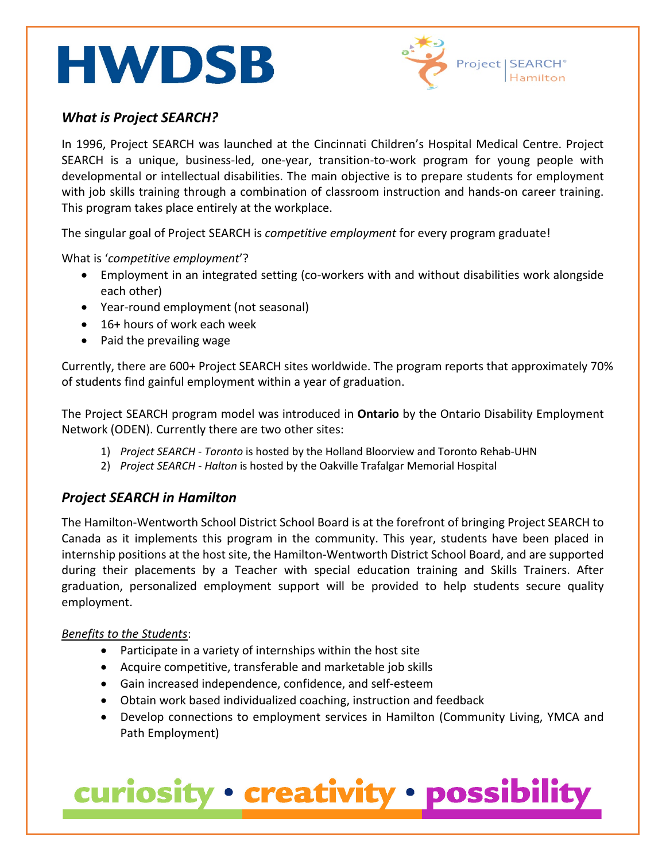# **HWDSB**



#### *What is Project SEARCH?*

 $\overline{a}$ 

In 1996, Project SEARCH was launched at the Cincinnati Children's Hospital Medical Centre. Project SEARCH is a unique, business-led, one-year, transition-to-work program for young people with developmental or intellectual disabilities. The main objective is to prepare students for employment with job skills training through a combination of classroom instruction and hands-on career training. This program takes place entirely at the workplace.

The singular goal of Project SEARCH is *competitive employment* for every program graduate!

What is '*competitive employment*'?

- Employment in an integrated setting (co-workers with and without disabilities work alongside each other)
- Year-round employment (not seasonal)
- 16+ hours of work each week
- Paid the prevailing wage

Currently, there are 600+ Project SEARCH sites worldwide. The program reports that approximately 70% of students find gainful employment within a year of graduation.

The Project SEARCH program model was introduced in **Ontario** by the Ontario Disability Employment Network (ODEN). Currently there are two other sites:

- 1) *Project SEARCH - Toronto* is hosted by the Holland Bloorview and Toronto Rehab-UHN
- 2) *Project SEARCH - Halton* is hosted by the Oakville Trafalgar Memorial Hospital

### *Project SEARCH in Hamilton*

The Hamilton-Wentworth School District School Board is at the forefront of bringing Project SEARCH to Canada as it implements this program in the community. This year, students have been placed in internship positions at the host site, the Hamilton-Wentworth District School Board, and are supported during their placements by a Teacher with special education training and Skills Trainers. After graduation, personalized employment support will be provided to help students secure quality employment.

#### *Benefits to the Students*:

- Participate in a variety of internships within the host site
- Acquire competitive, transferable and marketable job skills
- Gain increased independence, confidence, and self-esteem
- Obtain work based individualized coaching, instruction and feedback
- Develop connections to employment services in Hamilton (Community Living, YMCA and Path Employment)

### curiosity · creativity · possibility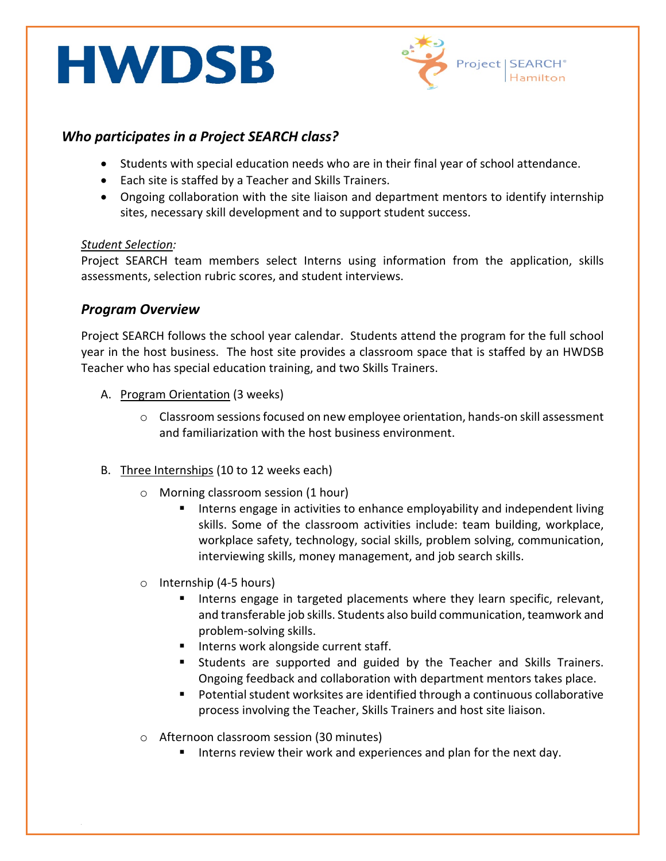# **HWDSB**



### *Who participates in a Project SEARCH class?*

- Students with special education needs who are in their final year of school attendance.
- Each site is staffed by a Teacher and Skills Trainers.
- Ongoing collaboration with the site liaison and department mentors to identify internship sites, necessary skill development and to support student success.

#### *Student Selection:*

 $\overline{a}$ 

Project SEARCH team members select Interns using information from the application, skills assessments, selection rubric scores, and student interviews.

#### *Program Overview*

Project SEARCH follows the school year calendar. Students attend the program for the full school year in the host business. The host site provides a classroom space that is staffed by an HWDSB Teacher who has special education training, and two Skills Trainers.

- A. Program Orientation (3 weeks)
	- o Classroom sessions focused on new employee orientation, hands-on skill assessment and familiarization with the host business environment.
- B. Three Internships (10 to 12 weeks each)
	- o Morning classroom session (1 hour)
		- **Interns engage in activities to enhance employability and independent living** skills. Some of the classroom activities include: team building, workplace, workplace safety, technology, social skills, problem solving, communication, interviewing skills, money management, and job search skills.
	- o Internship (4-5 hours)
		- Interns engage in targeted placements where they learn specific, relevant, and transferable job skills. Students also build communication, teamwork and problem-solving skills.
		- **Interns work alongside current staff.**
		- Students are supported and guided by the Teacher and Skills Trainers. Ongoing feedback and collaboration with department mentors takes place.
		- Potential student worksites are identified through a continuous collaborative process involving the Teacher, Skills Trainers and host site liaison.
	- o Afternoon classroom session (30 minutes)
		- Interns review their work and experiences and plan for the next day.